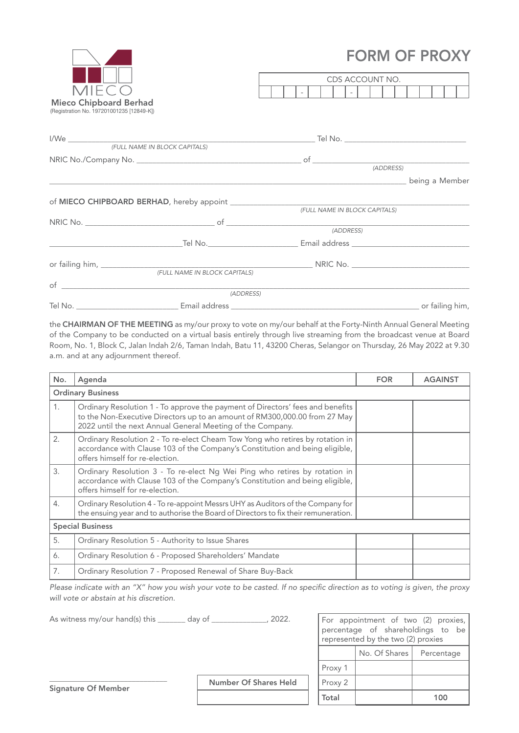## FORM OF PROXY

|                                                                            |  | FURIVI UF FRUAT                                                                                                      |                |  |  |  |
|----------------------------------------------------------------------------|--|----------------------------------------------------------------------------------------------------------------------|----------------|--|--|--|
|                                                                            |  | CDS ACCOUNT NO.                                                                                                      |                |  |  |  |
| <b>MIECO</b>                                                               |  |                                                                                                                      |                |  |  |  |
| <b>Mieco Chipboard Berhad</b><br>(Registration No. 197201001235 [12849-K]) |  |                                                                                                                      |                |  |  |  |
|                                                                            |  |                                                                                                                      |                |  |  |  |
|                                                                            |  |                                                                                                                      |                |  |  |  |
|                                                                            |  | (ADDRESS)                                                                                                            |                |  |  |  |
|                                                                            |  | <u> 1989 - Jan James James James James James James James James James James James James James James James James J</u> | being a Member |  |  |  |
|                                                                            |  |                                                                                                                      |                |  |  |  |
|                                                                            |  | (FULL NAME IN BLOCK CAPITALS)                                                                                        |                |  |  |  |
|                                                                            |  |                                                                                                                      |                |  |  |  |
|                                                                            |  | (ADDRESS)                                                                                                            |                |  |  |  |
|                                                                            |  |                                                                                                                      |                |  |  |  |
|                                                                            |  |                                                                                                                      |                |  |  |  |

 *(FULL NAME IN BLOCK CAPITALS)*

| of      |               |                 |
|---------|---------------|-----------------|
|         | (ADDRESS)     |                 |
| Tel No. | Email address | or failing him, |

the CHAIRMAN OF THE MEETING as my/our proxy to vote on my/our behalf at the Forty-Ninth Annual General Meeting of the Company to be conducted on a virtual basis entirely through live streaming from the broadcast venue at Board Room, No. 1, Block C, Jalan Indah 2/6, Taman Indah, Batu 11, 43200 Cheras, Selangor on Thursday, 26 May 2022 at 9.30 a.m. and at any adjournment thereof.

| No.                      | Agenda                                                                                                                                                                                                                     | <b>FOR</b> | <b>AGAINST</b> |  |
|--------------------------|----------------------------------------------------------------------------------------------------------------------------------------------------------------------------------------------------------------------------|------------|----------------|--|
| <b>Ordinary Business</b> |                                                                                                                                                                                                                            |            |                |  |
| 1.                       | Ordinary Resolution 1 - To approve the payment of Directors' fees and benefits<br>to the Non-Executive Directors up to an amount of RM300,000.00 from 27 May<br>2022 until the next Annual General Meeting of the Company. |            |                |  |
| 2.                       | Ordinary Resolution 2 - To re-elect Cheam Tow Yong who retires by rotation in<br>accordance with Clause 103 of the Company's Constitution and being eligible,<br>offers himself for re-election.                           |            |                |  |
| 3.                       | Ordinary Resolution 3 - To re-elect Ng Wei Ping who retires by rotation in<br>accordance with Clause 103 of the Company's Constitution and being eligible,<br>offers himself for re-election.                              |            |                |  |
| 4.                       | Ordinary Resolution 4 - To re-appoint Messrs UHY as Auditors of the Company for<br>the ensuing year and to authorise the Board of Directors to fix their remuneration.                                                     |            |                |  |
| <b>Special Business</b>  |                                                                                                                                                                                                                            |            |                |  |
| 5.                       | Ordinary Resolution 5 - Authority to Issue Shares                                                                                                                                                                          |            |                |  |
| 6.                       | Ordinary Resolution 6 - Proposed Shareholders' Mandate                                                                                                                                                                     |            |                |  |
| 7.                       | Ordinary Resolution 7 - Proposed Renewal of Share Buy-Back                                                                                                                                                                 |            |                |  |

*Please indicate with an "X" how you wish your vote to be casted. If no specific direction as to voting is given, the proxy will vote or abstain at his discretion.*

| As witness my/our hand(s) this _______ | 2022.<br>day of              |  | For appointment of two (2) proxies,<br>percentage of shareholdings to be<br>represented by the two (2) proxies |               |            |
|----------------------------------------|------------------------------|--|----------------------------------------------------------------------------------------------------------------|---------------|------------|
|                                        |                              |  |                                                                                                                | No. Of Shares | Percentage |
|                                        |                              |  | Proxy 1                                                                                                        |               |            |
| Signature Of Member                    | <b>Number Of Shares Held</b> |  | Proxy 2                                                                                                        |               |            |
|                                        |                              |  | Total                                                                                                          |               | 100        |